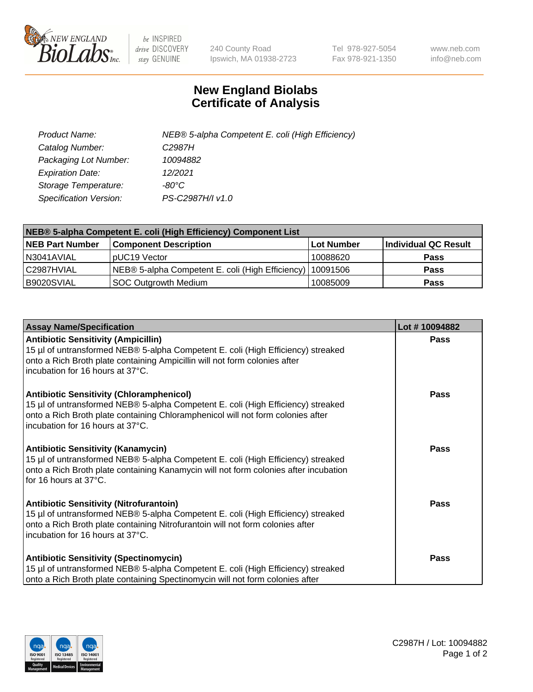

 $be$  INSPIRED drive DISCOVERY stay GENUINE

240 County Road Ipswich, MA 01938-2723 Tel 978-927-5054 Fax 978-921-1350 www.neb.com info@neb.com

## **New England Biolabs Certificate of Analysis**

| Product Name:           | NEB® 5-alpha Competent E. coli (High Efficiency) |
|-------------------------|--------------------------------------------------|
| Catalog Number:         | C <sub>2987</sub> H                              |
| Packaging Lot Number:   | 10094882                                         |
| <b>Expiration Date:</b> | 12/2021                                          |
| Storage Temperature:    | -80°C                                            |
| Specification Version:  | PS-C2987H/I v1.0                                 |

| NEB® 5-alpha Competent E. coli (High Efficiency) Component List |                                                  |            |                      |  |
|-----------------------------------------------------------------|--------------------------------------------------|------------|----------------------|--|
| <b>NEB Part Number</b>                                          | <b>Component Description</b>                     | Lot Number | Individual QC Result |  |
| N3041AVIAL                                                      | pUC19 Vector                                     | 10088620   | <b>Pass</b>          |  |
| C2987HVIAL                                                      | NEB® 5-alpha Competent E. coli (High Efficiency) | 10091506   | <b>Pass</b>          |  |
| B9020SVIAL                                                      | <b>SOC Outgrowth Medium</b>                      | 10085009   | <b>Pass</b>          |  |

| <b>Assay Name/Specification</b>                                                                                                                                                                                                                            | Lot #10094882 |
|------------------------------------------------------------------------------------------------------------------------------------------------------------------------------------------------------------------------------------------------------------|---------------|
| <b>Antibiotic Sensitivity (Ampicillin)</b><br>15 µl of untransformed NEB® 5-alpha Competent E. coli (High Efficiency) streaked<br>onto a Rich Broth plate containing Ampicillin will not form colonies after<br>incubation for 16 hours at 37°C.           | <b>Pass</b>   |
| <b>Antibiotic Sensitivity (Chloramphenicol)</b><br>15 µl of untransformed NEB® 5-alpha Competent E. coli (High Efficiency) streaked<br>onto a Rich Broth plate containing Chloramphenicol will not form colonies after<br>incubation for 16 hours at 37°C. | Pass          |
| Antibiotic Sensitivity (Kanamycin)<br>15 µl of untransformed NEB® 5-alpha Competent E. coli (High Efficiency) streaked<br>onto a Rich Broth plate containing Kanamycin will not form colonies after incubation<br>for 16 hours at 37°C.                    | Pass          |
| <b>Antibiotic Sensitivity (Nitrofurantoin)</b><br>15 µl of untransformed NEB® 5-alpha Competent E. coli (High Efficiency) streaked<br>onto a Rich Broth plate containing Nitrofurantoin will not form colonies after<br>incubation for 16 hours at 37°C.   | <b>Pass</b>   |
| <b>Antibiotic Sensitivity (Spectinomycin)</b><br>15 µl of untransformed NEB® 5-alpha Competent E. coli (High Efficiency) streaked<br>onto a Rich Broth plate containing Spectinomycin will not form colonies after                                         | Pass          |